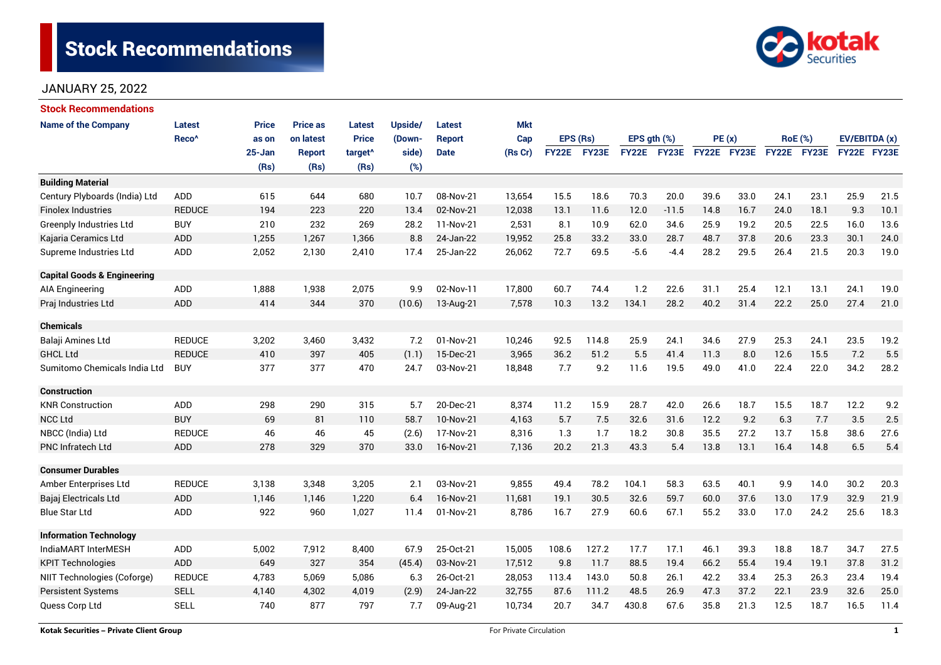# **Stock Recommendations**



## JANUARY 25, 2022

| <b>Stock Recommendations</b>           |                   |              |                 |                     |         |               |            |              |          |             |         |             |      |             |                |               |      |
|----------------------------------------|-------------------|--------------|-----------------|---------------------|---------|---------------|------------|--------------|----------|-------------|---------|-------------|------|-------------|----------------|---------------|------|
| <b>Name of the Company</b>             | Latest            | <b>Price</b> | <b>Price as</b> | <b>Latest</b>       | Upside/ | Latest        | <b>Mkt</b> |              |          |             |         |             |      |             |                |               |      |
|                                        | Reco <sup>^</sup> | as on        | on latest       | <b>Price</b>        | (Down-  | <b>Report</b> | Cap        |              | EPS (Rs) | EPS gth (%) |         | PE(x)       |      |             | <b>RoE</b> (%) | EV/EBITDA (x) |      |
|                                        |                   | 25-Jan       | <b>Report</b>   | target <sup>^</sup> | side)   | <b>Date</b>   | (Rs Cr)    | <b>FY22E</b> | FY23E    | FY22E FY23E |         | FY22E FY23E |      | FY22E FY23E |                | FY22E FY23E   |      |
|                                        |                   | (Rs)         | (Rs)            | (Rs)                | (%)     |               |            |              |          |             |         |             |      |             |                |               |      |
| <b>Building Material</b>               |                   |              |                 |                     |         |               |            |              |          |             |         |             |      |             |                |               |      |
| Century Plyboards (India) Ltd          | <b>ADD</b>        | 615          | 644             | 680                 | 10.7    | 08-Nov-21     | 13,654     | 15.5         | 18.6     | 70.3        | 20.0    | 39.6        | 33.0 | 24.1        | 23.1           | 25.9          | 21.5 |
| <b>Finolex Industries</b>              | <b>REDUCE</b>     | 194          | 223             | 220                 | 13.4    | 02-Nov-21     | 12,038     | 13.1         | 11.6     | 12.0        | $-11.5$ | 14.8        | 16.7 | 24.0        | 18.1           | 9.3           | 10.1 |
| <b>Greenply Industries Ltd</b>         | <b>BUY</b>        | 210          | 232             | 269                 | 28.2    | 11-Nov-21     | 2,531      | 8.1          | 10.9     | 62.0        | 34.6    | 25.9        | 19.2 | 20.5        | 22.5           | 16.0          | 13.6 |
| Kajaria Ceramics Ltd                   | <b>ADD</b>        | 1,255        | 1,267           | 1,366               | 8.8     | 24-Jan-22     | 19,952     | 25.8         | 33.2     | 33.0        | 28.7    | 48.7        | 37.8 | 20.6        | 23.3           | 30.1          | 24.0 |
| Supreme Industries Ltd                 | ADD               | 2,052        | 2,130           | 2,410               | 17.4    | 25-Jan-22     | 26,062     | 72.7         | 69.5     | $-5.6$      | $-4.4$  | 28.2        | 29.5 | 26.4        | 21.5           | 20.3          | 19.0 |
| <b>Capital Goods &amp; Engineering</b> |                   |              |                 |                     |         |               |            |              |          |             |         |             |      |             |                |               |      |
| AIA Engineering                        | ADD               | 1,888        | 1,938           | 2,075               | 9.9     | 02-Nov-11     | 17,800     | 60.7         | 74.4     | 1.2         | 22.6    | 31.1        | 25.4 | 12.1        | 13.1           | 24.1          | 19.0 |
| Praj Industries Ltd                    | ADD               | 414          | 344             | 370                 | (10.6)  | 13-Aug-21     | 7,578      | 10.3         | 13.2     | 134.1       | 28.2    | 40.2        | 31.4 | 22.2        | 25.0           | 27.4          | 21.0 |
| <b>Chemicals</b>                       |                   |              |                 |                     |         |               |            |              |          |             |         |             |      |             |                |               |      |
| Balaji Amines Ltd                      | <b>REDUCE</b>     | 3,202        | 3,460           | 3,432               | 7.2     | 01-Nov-21     | 10,246     | 92.5         | 114.8    | 25.9        | 24.1    | 34.6        | 27.9 | 25.3        | 24.1           | 23.5          | 19.2 |
| <b>GHCL Ltd</b>                        | <b>REDUCE</b>     | 410          | 397             | 405                 | (1.1)   | 15-Dec-21     | 3,965      | 36.2         | 51.2     | 5.5         | 41.4    | 11.3        | 8.0  | 12.6        | 15.5           | 7.2           | 5.5  |
| Sumitomo Chemicals India Ltd           | <b>BUY</b>        | 377          | 377             | 470                 | 24.7    | 03-Nov-21     | 18,848     | 7.7          | 9.2      | 11.6        | 19.5    | 49.0        | 41.0 | 22.4        | 22.0           | 34.2          | 28.2 |
| <b>Construction</b>                    |                   |              |                 |                     |         |               |            |              |          |             |         |             |      |             |                |               |      |
| <b>KNR Construction</b>                | <b>ADD</b>        | 298          | 290             | 315                 | 5.7     | 20-Dec-21     | 8,374      | 11.2         | 15.9     | 28.7        | 42.0    | 26.6        | 18.7 | 15.5        | 18.7           | 12.2          | 9.2  |
| <b>NCC Ltd</b>                         | <b>BUY</b>        | 69           | 81              | 110                 | 58.7    | 10-Nov-21     | 4,163      | 5.7          | 7.5      | 32.6        | 31.6    | 12.2        | 9.2  | 6.3         | 7.7            | 3.5           | 2.5  |
| NBCC (India) Ltd                       | <b>REDUCE</b>     | 46           | 46              | 45                  | (2.6)   | 17-Nov-21     | 8,316      | 1.3          | 1.7      | 18.2        | 30.8    | 35.5        | 27.2 | 13.7        | 15.8           | 38.6          | 27.6 |
| <b>PNC Infratech Ltd</b>               | ADD               | 278          | 329             | 370                 | 33.0    | 16-Nov-21     | 7,136      | 20.2         | 21.3     | 43.3        | 5.4     | 13.8        | 13.1 | 16.4        | 14.8           | 6.5           | 5.4  |
| <b>Consumer Durables</b>               |                   |              |                 |                     |         |               |            |              |          |             |         |             |      |             |                |               |      |
| Amber Enterprises Ltd                  | <b>REDUCE</b>     | 3,138        | 3,348           | 3,205               | 2.1     | 03-Nov-21     | 9,855      | 49.4         | 78.2     | 104.1       | 58.3    | 63.5        | 40.1 | 9.9         | 14.0           | 30.2          | 20.3 |
| Bajaj Electricals Ltd                  | <b>ADD</b>        | 1,146        | 1.146           | 1,220               | 6.4     | 16-Nov-21     | 11,681     | 19.1         | 30.5     | 32.6        | 59.7    | 60.0        | 37.6 | 13.0        | 17.9           | 32.9          | 21.9 |
| <b>Blue Star Ltd</b>                   | ADD               | 922          | 960             | 1,027               | 11.4    | 01-Nov-21     | 8,786      | 16.7         | 27.9     | 60.6        | 67.1    | 55.2        | 33.0 | 17.0        | 24.2           | 25.6          | 18.3 |
| <b>Information Technology</b>          |                   |              |                 |                     |         |               |            |              |          |             |         |             |      |             |                |               |      |
| IndiaMART InterMESH                    | ADD               | 5,002        | 7,912           | 8,400               | 67.9    | 25-Oct-21     | 15,005     | 108.6        | 127.2    | 17.7        | 17.1    | 46.1        | 39.3 | 18.8        | 18.7           | 34.7          | 27.5 |
| <b>KPIT Technologies</b>               | <b>ADD</b>        | 649          | 327             | 354                 | (45.4)  | 03-Nov-21     | 17,512     | 9.8          | 11.7     | 88.5        | 19.4    | 66.2        | 55.4 | 19.4        | 19.1           | 37.8          | 31.2 |
| NIIT Technologies (Coforge)            | <b>REDUCE</b>     | 4,783        | 5,069           | 5,086               | 6.3     | 26-Oct-21     | 28,053     | 113.4        | 143.0    | 50.8        | 26.1    | 42.2        | 33.4 | 25.3        | 26.3           | 23.4          | 19.4 |
| <b>Persistent Systems</b>              | <b>SELL</b>       | 4,140        | 4,302           | 4,019               | (2.9)   | 24-Jan-22     | 32,755     | 87.6         | 111.2    | 48.5        | 26.9    | 47.3        | 37.2 | 22.1        | 23.9           | 32.6          | 25.0 |
| Quess Corp Ltd                         | <b>SELL</b>       | 740          | 877             | 797                 | 7.7     | 09-Aug-21     | 10,734     | 20.7         | 34.7     | 430.8       | 67.6    | 35.8        | 21.3 | 12.5        | 18.7           | 16.5          | 11.4 |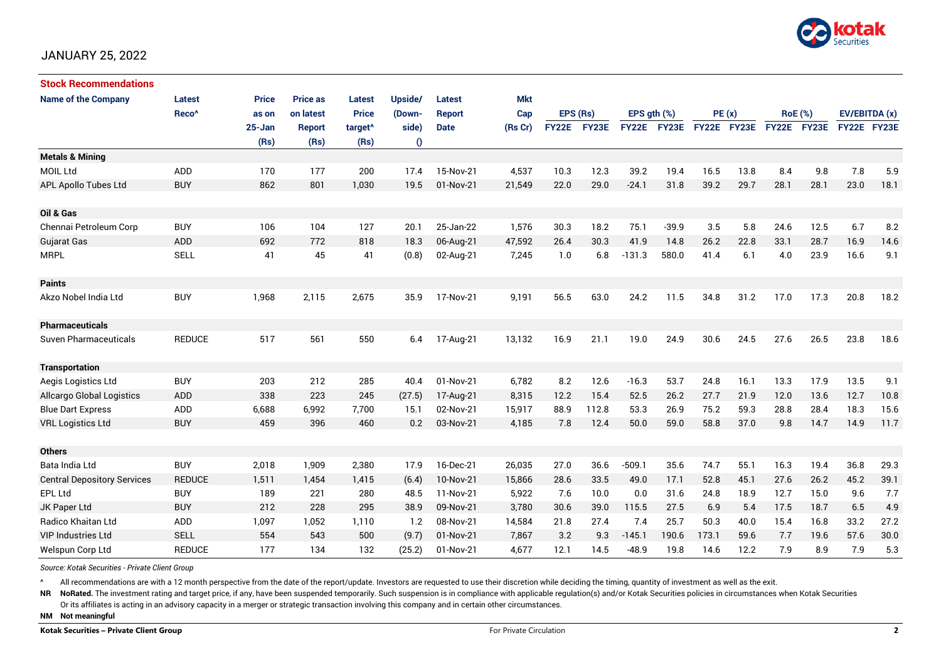

## JANUARY 25, 2022

| <b>Stock Recommendations</b>       |                   |            |                 |                     |                  |               |            |              |       |                  |         |             |      |      |                |                    |      |
|------------------------------------|-------------------|------------|-----------------|---------------------|------------------|---------------|------------|--------------|-------|------------------|---------|-------------|------|------|----------------|--------------------|------|
| <b>Name of the Company</b>         | <b>Latest</b>     | Price      | <b>Price as</b> | <b>Latest</b>       | Upside/          | Latest        | <b>Mkt</b> |              |       |                  |         |             |      |      |                |                    |      |
|                                    | Reco <sup>^</sup> | as on      | on latest       | <b>Price</b>        | (Down-           | <b>Report</b> | Cap        | EPS (Rs)     |       | EPS $gth$ $(\%)$ |         | PE(x)       |      |      | <b>RoE</b> (%) | EV/EBITDA (x)      |      |
|                                    |                   | $25 - Jan$ | <b>Report</b>   | target <sup>^</sup> | side)            | <b>Date</b>   | (Rs Cr)    | <b>FY22E</b> | FY23E | <b>FY22E</b>     | FY23E   | FY22E FY23E |      |      | FY22E FY23E    | <b>FY22E FY23E</b> |      |
|                                    |                   | (Rs)       | (Rs)            | (Rs)                | $\boldsymbol{0}$ |               |            |              |       |                  |         |             |      |      |                |                    |      |
| <b>Metals &amp; Mining</b>         |                   |            |                 |                     |                  |               |            |              |       |                  |         |             |      |      |                |                    |      |
| <b>MOIL Ltd</b>                    | ADD               | 170        | 177             | 200                 | 17.4             | 15-Nov-21     | 4,537      | 10.3         | 12.3  | 39.2             | 19.4    | 16.5        | 13.8 | 8.4  | 9.8            | 7.8                | 5.9  |
| APL Apollo Tubes Ltd               | <b>BUY</b>        | 862        | 801             | 1,030               | 19.5             | 01-Nov-21     | 21,549     | 22.0         | 29.0  | $-24.1$          | 31.8    | 39.2        | 29.7 | 28.1 | 28.1           | 23.0               | 18.1 |
|                                    |                   |            |                 |                     |                  |               |            |              |       |                  |         |             |      |      |                |                    |      |
| Oil & Gas                          |                   |            |                 |                     |                  |               |            |              |       |                  |         |             |      |      |                |                    |      |
| Chennai Petroleum Corp             | <b>BUY</b>        | 106        | 104             | 127                 | 20.1             | 25-Jan-22     | 1,576      | 30.3         | 18.2  | 75.1             | $-39.9$ | 3.5         | 5.8  | 24.6 | 12.5           | 6.7                | 8.2  |
| Gujarat Gas                        | <b>ADD</b>        | 692        | 772             | 818                 | 18.3             | 06-Aug-21     | 47,592     | 26.4         | 30.3  | 41.9             | 14.8    | 26.2        | 22.8 | 33.1 | 28.7           | 16.9               | 14.6 |
| <b>MRPL</b>                        | <b>SELL</b>       | 41         | 45              | 41                  | (0.8)            | 02-Aug-21     | 7,245      | 1.0          | 6.8   | $-131.3$         | 580.0   | 41.4        | 6.1  | 4.0  | 23.9           | 16.6               | 9.1  |
|                                    |                   |            |                 |                     |                  |               |            |              |       |                  |         |             |      |      |                |                    |      |
| <b>Paints</b>                      |                   |            |                 |                     |                  |               |            |              |       |                  |         |             |      |      |                |                    |      |
| Akzo Nobel India Ltd               | <b>BUY</b>        | 1,968      | 2,115           | 2,675               | 35.9             | 17-Nov-21     | 9,191      | 56.5         | 63.0  | 24.2             | 11.5    | 34.8        | 31.2 | 17.0 | 17.3           | 20.8               | 18.2 |
|                                    |                   |            |                 |                     |                  |               |            |              |       |                  |         |             |      |      |                |                    |      |
| <b>Pharmaceuticals</b>             |                   |            |                 |                     |                  |               |            |              |       |                  |         |             |      |      |                |                    |      |
| <b>Suven Pharmaceuticals</b>       | <b>REDUCE</b>     | 517        | 561             | 550                 | 6.4              | 17-Aug-21     | 13,132     | 16.9         | 21.1  | 19.0             | 24.9    | 30.6        | 24.5 | 27.6 | 26.5           | 23.8               | 18.6 |
|                                    |                   |            |                 |                     |                  |               |            |              |       |                  |         |             |      |      |                |                    |      |
| <b>Transportation</b>              |                   |            |                 |                     |                  |               |            |              |       |                  |         |             |      |      |                |                    |      |
| Aegis Logistics Ltd                | <b>BUY</b>        | 203        | 212             | 285                 | 40.4             | 01-Nov-21     | 6,782      | 8.2          | 12.6  | $-16.3$          | 53.7    | 24.8        | 16.1 | 13.3 | 17.9           | 13.5               | 9.1  |
| <b>Allcargo Global Logistics</b>   | <b>ADD</b>        | 338        | 223             | 245                 | (27.5)           | 17-Aug-21     | 8,315      | 12.2         | 15.4  | 52.5             | 26.2    | 27.7        | 21.9 | 12.0 | 13.6           | 12.7               | 10.8 |
| <b>Blue Dart Express</b>           | ADD               | 6,688      | 6,992           | 7,700               | 15.1             | 02-Nov-21     | 15,917     | 88.9         | 112.8 | 53.3             | 26.9    | 75.2        | 59.3 | 28.8 | 28.4           | 18.3               | 15.6 |
| <b>VRL Logistics Ltd</b>           | <b>BUY</b>        | 459        | 396             | 460                 | 0.2              | 03-Nov-21     | 4,185      | 7.8          | 12.4  | 50.0             | 59.0    | 58.8        | 37.0 | 9.8  | 14.7           | 14.9               | 11.7 |
|                                    |                   |            |                 |                     |                  |               |            |              |       |                  |         |             |      |      |                |                    |      |
| <b>Others</b>                      |                   |            |                 |                     |                  |               |            |              |       |                  |         |             |      |      |                |                    |      |
| Bata India Ltd                     | <b>BUY</b>        | 2,018      | 1,909           | 2,380               | 17.9             | 16-Dec-21     | 26,035     | 27.0         | 36.6  | $-509.1$         | 35.6    | 74.7        | 55.1 | 16.3 | 19.4           | 36.8               | 29.3 |
| <b>Central Depository Services</b> | <b>REDUCE</b>     | 1,511      | 1,454           | 1,415               | (6.4)            | 10-Nov-21     | 15,866     | 28.6         | 33.5  | 49.0             | 17.1    | 52.8        | 45.1 | 27.6 | 26.2           | 45.2               | 39.1 |
| EPL Ltd                            | <b>BUY</b>        | 189        | 221             | 280                 | 48.5             | 11-Nov-21     | 5,922      | 7.6          | 10.0  | 0.0              | 31.6    | 24.8        | 18.9 | 12.7 | 15.0           | 9.6                | 7.7  |
| JK Paper Ltd                       | <b>BUY</b>        | 212        | 228             | 295                 | 38.9             | 09-Nov-21     | 3,780      | 30.6         | 39.0  | 115.5            | 27.5    | 6.9         | 5.4  | 17.5 | 18.7           | 6.5                | 4.9  |
| Radico Khaitan Ltd                 | <b>ADD</b>        | 1,097      | 1,052           | 1,110               | 1.2              | 08-Nov-21     | 14,584     | 21.8         | 27.4  | 7.4              | 25.7    | 50.3        | 40.0 | 15.4 | 16.8           | 33.2               | 27.2 |
| <b>VIP Industries Ltd</b>          | <b>SELL</b>       | 554        | 543             | 500                 | (9.7)            | 01-Nov-21     | 7,867      | 3.2          | 9.3   | $-145.1$         | 190.6   | 173.1       | 59.6 | 7.7  | 19.6           | 57.6               | 30.0 |
| Welspun Corp Ltd                   | <b>REDUCE</b>     | 177        | 134             | 132                 | (25.2)           | 01-Nov-21     | 4,677      | 12.1         | 14.5  | $-48.9$          | 19.8    | 14.6        | 12.2 | 7.9  | 8.9            | 7.9                | 5.3  |

*Source: Kotak Securities - Private Client Group*

All recommendations are with a 12 month perspective from the date of the report/update. Investors are requested to use their discretion while deciding the timing, quantity of investment as well as the exit.

NR NoRated. The investment rating and target price, if any, have been suspended temporarily. Such suspension is in compliance with applicable regulation(s) and/or Kotak Securities policies in circumstances when Kotak Secur

Or its affiliates is acting in an advisory capacity in a merger or strategic transaction involving this company and in certain other circumstances.

**NM Not meaningful**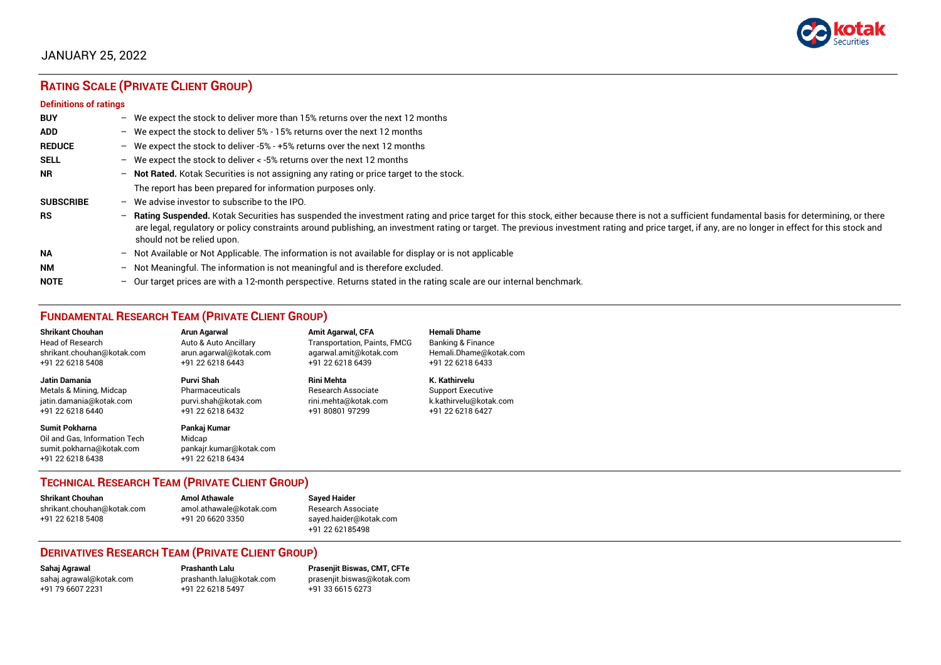

# JANUARY 25, 2022

# **RATING SCALE (PRIVATE CLIENT GROUP)**

#### **Definitions of ratings**

| <b>BUY</b>       | - We expect the stock to deliver more than 15% returns over the next 12 months                                                                                                                                                                                                                                                                                                                                                     |
|------------------|------------------------------------------------------------------------------------------------------------------------------------------------------------------------------------------------------------------------------------------------------------------------------------------------------------------------------------------------------------------------------------------------------------------------------------|
| <b>ADD</b>       | - We expect the stock to deliver 5% - 15% returns over the next 12 months                                                                                                                                                                                                                                                                                                                                                          |
| <b>REDUCE</b>    | - We expect the stock to deliver -5% - +5% returns over the next 12 months                                                                                                                                                                                                                                                                                                                                                         |
| <b>SELL</b>      | - We expect the stock to deliver $\lt$ -5% returns over the next 12 months                                                                                                                                                                                                                                                                                                                                                         |
| <b>NR</b>        | - Not Rated. Kotak Securities is not assigning any rating or price target to the stock.                                                                                                                                                                                                                                                                                                                                            |
|                  | The report has been prepared for information purposes only.                                                                                                                                                                                                                                                                                                                                                                        |
| <b>SUBSCRIBE</b> | $-$ We advise investor to subscribe to the IPO.                                                                                                                                                                                                                                                                                                                                                                                    |
| <b>RS</b>        | - Rating Suspended. Kotak Securities has suspended the investment rating and price target for this stock, either because there is not a sufficient fundamental basis for determining, or there<br>are legal, regulatory or policy constraints around publishing, an investment rating or target. The previous investment rating and price target, if any, are no longer in effect for this stock and<br>should not be relied upon. |
| <b>NA</b>        | - Not Available or Not Applicable. The information is not available for display or is not applicable                                                                                                                                                                                                                                                                                                                               |
| <b>NM</b>        | - Not Meaningful. The information is not meaningful and is therefore excluded.                                                                                                                                                                                                                                                                                                                                                     |
| <b>NOTE</b>      | $-$ Our target prices are with a 12-month perspective. Returns stated in the rating scale are our internal benchmark.                                                                                                                                                                                                                                                                                                              |

## **FUNDAMENTAL RESEARCH TEAM (PRIVATE CLIENT GROUP)**

| <b>Shrikant Chouhan</b>                                                                                | <b>Arun Agarwal</b>                                                   | <b>Amit Agarwal, CFA</b>            | <b>Hemali Dhame</b>      |
|--------------------------------------------------------------------------------------------------------|-----------------------------------------------------------------------|-------------------------------------|--------------------------|
| Head of Research                                                                                       | Auto & Auto Ancillary                                                 | <b>Transportation, Paints, FMCG</b> | Banking & Finance        |
| shrikant.chouhan@kotak.com                                                                             | arun.agarwal@kotak.com                                                | agarwal.amit@kotak.com              | Hemali.Dhame@kotak.com   |
| +91 22 6218 5408                                                                                       | +91 22 6218 6443                                                      | +91 22 6218 6439                    | +91 22 6218 6433         |
| <b>Jatin Damania</b>                                                                                   | Purvi Shah                                                            | Rini Mehta                          | K. Kathirvelu            |
| Metals & Mining, Midcap                                                                                | Pharmaceuticals                                                       | Research Associate                  | <b>Support Executive</b> |
| jatin.damania@kotak.com                                                                                | purvi.shah@kotak.com                                                  | rini.mehta@kotak.com                | k.kathirvelu@kotak.com   |
| +91 22 6218 6440                                                                                       | +91 22 6218 6432                                                      | +91 80801 97299                     | +91 22 6218 6427         |
| <b>Sumit Pokharna</b><br>Oil and Gas. Information Tech<br>sumit.pokharna@kotak.com<br>+91 22 6218 6438 | Pankaj Kumar<br>Midcap<br>pankajr.kumar@kotak.com<br>+91 22 6218 6434 |                                     |                          |

## **TECHNICAL RESEARCH TEAM (PRIVATE CLIENT GROUP)**

| Shrikant Chouhan           | <b>Amol Athawale</b>    | <b>Sayed Haider</b>    |
|----------------------------|-------------------------|------------------------|
| shrikant.chouhan@kotak.com | amol.athawale@kotak.com | Research Associate     |
| +91 22 6218 5408           | +91 20 6620 3350        | sayed.haider@kotak.com |
|                            |                         | +91 22 62185498        |

#### **DERIVATIVES RESEARCH TEAM (PRIVATE CLIENT GROUP)**

+91 22 6218 5497 +91 33 6615 6273

**Sahaj Agrawal Prashanth Lalu Prasenjit Biswas, CMT, CFTe** [sahaj.agrawal@kotak.com](mailto:sahaj.agrawal@kotak.com) [prashanth.lalu@kotak.com](mailto:prashanth.lalu@kotak.com) [prasenjit.biswas@kotak.com](mailto:prasenjit.biswas@kotak.com)